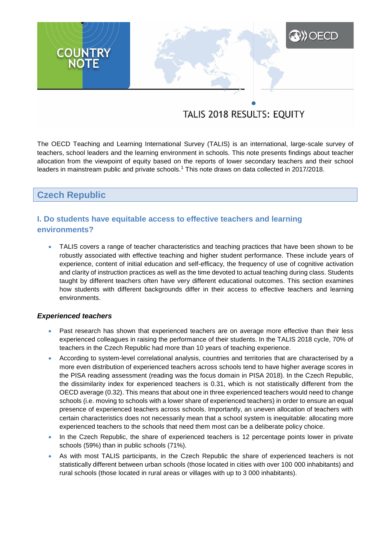# **XXX** OECD **COUNTRY**<br>NOTE

## TALIS 2018 RESULTS: EQUITY

The OECD Teaching and Learning International Survey (TALIS) is an international, large-scale survey of teachers, school leaders and the learning environment in schools. This note presents findings about teacher allocation from the viewpoint of equity based on the reports of lower secondary teachers and their school leaders in mainstream public and private schools.<sup>1</sup> This note draws on data collected in 2017/2018.

## **Czech Republic**

### **I. Do students have equitable access to effective teachers and learning environments?**

 TALIS covers a range of teacher characteristics and teaching practices that have been shown to be robustly associated with effective teaching and higher student performance. These include years of experience, content of initial education and self-efficacy, the frequency of use of cognitive activation and clarity of instruction practices as well as the time devoted to actual teaching during class. Students taught by different teachers often have very different educational outcomes. This section examines how students with different backgrounds differ in their access to effective teachers and learning environments.

#### *Experienced teachers*

- Past research has shown that experienced teachers are on average more effective than their less experienced colleagues in raising the performance of their students. In the TALIS 2018 cycle, 70% of teachers in the Czech Republic had more than 10 years of teaching experience.
- According to system-level correlational analysis, countries and territories that are characterised by a more even distribution of experienced teachers across schools tend to have higher average scores in the PISA reading assessment (reading was the focus domain in PISA 2018). In the Czech Republic, the dissimilarity index for experienced teachers is 0.31, which is not statistically different from the OECD average (0.32). This means that about one in three experienced teachers would need to change schools (i.e. moving to schools with a lower share of experienced teachers) in order to ensure an equal presence of experienced teachers across schools. Importantly, an uneven allocation of teachers with certain characteristics does not necessarily mean that a school system is inequitable: allocating more experienced teachers to the schools that need them most can be a deliberate policy choice.
- In the Czech Republic, the share of experienced teachers is 12 percentage points lower in private schools (59%) than in public schools (71%).
- As with most TALIS participants, in the Czech Republic the share of experienced teachers is not statistically different between urban schools (those located in cities with over 100 000 inhabitants) and rural schools (those located in rural areas or villages with up to 3 000 inhabitants).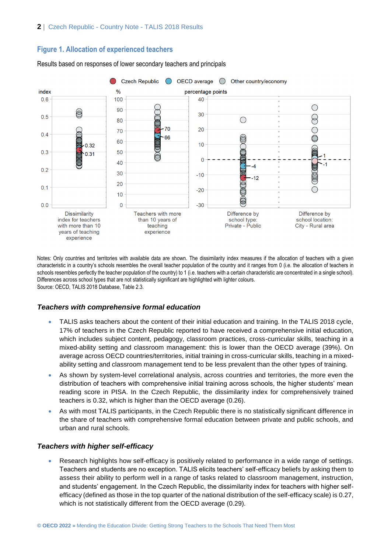#### **Figure 1. Allocation of experienced teachers**



Results based on responses of lower secondary teachers and principals

Notes: Only countries and territories with available data are shown. The dissimilarity index measures if the allocation of teachers with a given characteristic in a country's schools resembles the overall teacher population of the country and it ranges from 0 (i.e. the allocation of teachers in schools resembles perfectly the teacher population of the country) to 1 (i.e. teachers with a certain characteristic are concentrated in a single school). Differences across school types that are not statistically significant are highlighted with lighter colours. Source: OECD, TALIS 2018 Database, Table 2.3.

#### *Teachers with comprehensive formal education*

- TALIS asks teachers about the content of their initial education and training. In the TALIS 2018 cycle, 17% of teachers in the Czech Republic reported to have received a comprehensive initial education, which includes subject content, pedagogy, classroom practices, cross-curricular skills, teaching in a mixed-ability setting and classroom management: this is lower than the OECD average (39%). On average across OECD countries/territories, initial training in cross-curricular skills, teaching in a mixedability setting and classroom management tend to be less prevalent than the other types of training.
- As shown by system-level correlational analysis, across countries and territories, the more even the distribution of teachers with comprehensive initial training across schools, the higher students' mean reading score in PISA. In the Czech Republic, the dissimilarity index for comprehensively trained teachers is 0.32, which is higher than the OECD average (0.26).
- As with most TALIS participants, in the Czech Republic there is no statistically significant difference in the share of teachers with comprehensive formal education between private and public schools, and urban and rural schools.

#### *Teachers with higher self-efficacy*

 Research highlights how self-efficacy is positively related to performance in a wide range of settings. Teachers and students are no exception. TALIS elicits teachers' self-efficacy beliefs by asking them to assess their ability to perform well in a range of tasks related to classroom management, instruction, and students' engagement. In the Czech Republic, the dissimilarity index for teachers with higher selfefficacy (defined as those in the top quarter of the national distribution of the self-efficacy scale) is 0.27, which is not statistically different from the OECD average (0.29).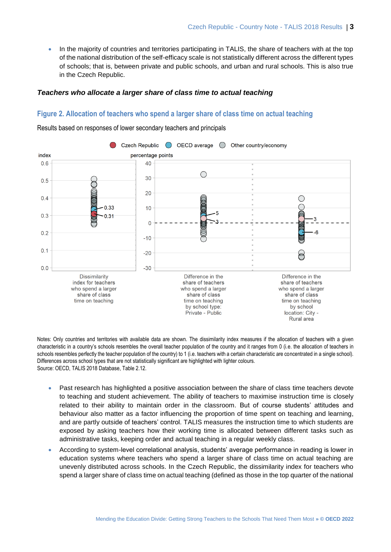In the majority of countries and territories participating in TALIS, the share of teachers with at the top of the national distribution of the self-efficacy scale is not statistically different across the different types of schools; that is, between private and public schools, and urban and rural schools. This is also true in the Czech Republic.

#### *Teachers who allocate a larger share of class time to actual teaching*

#### **Figure 2. Allocation of teachers who spend a larger share of class time on actual teaching**

Results based on responses of lower secondary teachers and principals



Notes: Only countries and territories with available data are shown. The dissimilarity index measures if the allocation of teachers with a given characteristic in a country's schools resembles the overall teacher population of the country and it ranges from 0 (i.e. the allocation of teachers in schools resembles perfectly the teacher population of the country) to 1 (i.e. teachers with a certain characteristic are concentrated in a single school). Differences across school types that are not statistically significant are highlighted with lighter colours. Source: OECD, TALIS 2018 Database, Table 2.12.

- Past research has highlighted a positive association between the share of class time teachers devote to teaching and student achievement. The ability of teachers to maximise instruction time is closely related to their ability to maintain order in the classroom. But of course students' attitudes and behaviour also matter as a factor influencing the proportion of time spent on teaching and learning, and are partly outside of teachers' control. TALIS measures the instruction time to which students are exposed by asking teachers how their working time is allocated between different tasks such as administrative tasks, keeping order and actual teaching in a regular weekly class.
- According to system-level correlational analysis, students' average performance in reading is lower in education systems where teachers who spend a larger share of class time on actual teaching are unevenly distributed across schools. In the Czech Republic, the dissimilarity index for teachers who spend a larger share of class time on actual teaching (defined as those in the top quarter of the national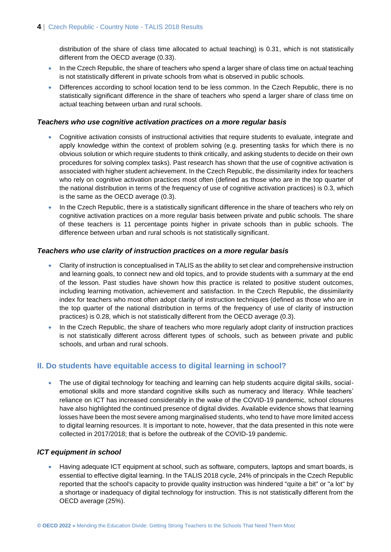distribution of the share of class time allocated to actual teaching) is 0.31, which is not statistically different from the OECD average (0.33).

- In the Czech Republic, the share of teachers who spend a larger share of class time on actual teaching is not statistically different in private schools from what is observed in public schools.
- Differences according to school location tend to be less common. In the Czech Republic, there is no statistically significant difference in the share of teachers who spend a larger share of class time on actual teaching between urban and rural schools.

#### *Teachers who use cognitive activation practices on a more regular basis*

- Cognitive activation consists of instructional activities that require students to evaluate, integrate and apply knowledge within the context of problem solving (e.g. presenting tasks for which there is no obvious solution or which require students to think critically, and asking students to decide on their own procedures for solving complex tasks). Past research has shown that the use of cognitive activation is associated with higher student achievement. In the Czech Republic, the dissimilarity index for teachers who rely on cognitive activation practices most often (defined as those who are in the top quarter of the national distribution in terms of the frequency of use of cognitive activation practices) is 0.3, which is the same as the OECD average (0.3).
- In the Czech Republic, there is a statistically significant difference in the share of teachers who rely on cognitive activation practices on a more regular basis between private and public schools. The share of these teachers is 11 percentage points higher in private schools than in public schools. The difference between urban and rural schools is not statistically significant.

#### *Teachers who use clarity of instruction practices on a more regular basis*

- Clarity of instruction is conceptualised in TALIS as the ability to set clear and comprehensive instruction and learning goals, to connect new and old topics, and to provide students with a summary at the end of the lesson. Past studies have shown how this practice is related to positive student outcomes, including learning motivation, achievement and satisfaction. In the Czech Republic, the dissimilarity index for teachers who most often adopt clarity of instruction techniques (defined as those who are in the top quarter of the national distribution in terms of the frequency of use of clarity of instruction practices) is 0.28, which is not statistically different from the OECD average (0.3).
- In the Czech Republic, the share of teachers who more regularly adopt clarity of instruction practices is not statistically different across different types of schools, such as between private and public schools, and urban and rural schools.

#### **II. Do students have equitable access to digital learning in school?**

• The use of digital technology for teaching and learning can help students acquire digital skills, socialemotional skills and more standard cognitive skills such as numeracy and literacy. While teachers' reliance on ICT has increased considerably in the wake of the COVID-19 pandemic, school closures have also highlighted the continued presence of digital divides. Available evidence shows that learning losses have been the most severe among marginalised students, who tend to have more limited access to digital learning resources. It is important to note, however, that the data presented in this note were collected in 2017/2018; that is before the outbreak of the COVID-19 pandemic.

#### *ICT equipment in school*

 Having adequate ICT equipment at school, such as software, computers, laptops and smart boards, is essential to effective digital learning. In the TALIS 2018 cycle, 24% of principals in the Czech Republic reported that the school's capacity to provide quality instruction was hindered "quite a bit" or "a lot" by a shortage or inadequacy of digital technology for instruction. This is not statistically different from the OECD average (25%).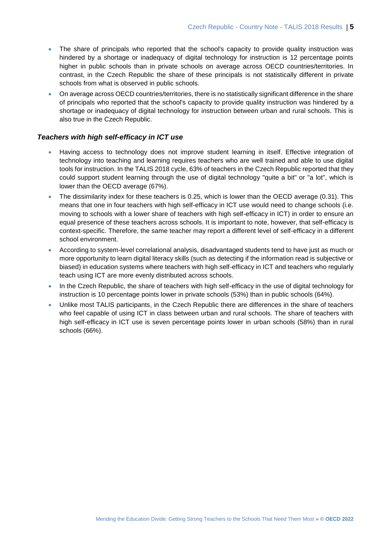- The share of principals who reported that the school's capacity to provide quality instruction was hindered by a shortage or inadequacy of digital technology for instruction is 12 percentage points higher in public schools than in private schools on average across OECD countries/territories. In contrast, in the Czech Republic the share of these principals is not statistically different in private schools from what is observed in public schools.
- On average across OECD countries/territories, there is no statistically significant difference in the share of principals who reported that the school's capacity to provide quality instruction was hindered by a shortage or inadequacy of digital technology for instruction between urban and rural schools. This is also true in the Czech Republic.

#### *Teachers with high self-efficacy in ICT use*

- Having access to technology does not improve student learning in itself. Effective integration of technology into teaching and learning requires teachers who are well trained and able to use digital tools for instruction. In the TALIS 2018 cycle, 63% of teachers in the Czech Republic reported that they could support student learning through the use of digital technology "quite a bit" or "a lot", which is lower than the OECD average (67%).
- The dissimilarity index for these teachers is 0.25, which is lower than the OECD average (0.31). This means that one in four teachers with high self-efficacy in ICT use would need to change schools (i.e. moving to schools with a lower share of teachers with high self-efficacy in ICT) in order to ensure an equal presence of these teachers across schools. It is important to note, however, that self-efficacy is context-specific. Therefore, the same teacher may report a different level of self-efficacy in a different school environment.
- According to system-level correlational analysis, disadvantaged students tend to have just as much or more opportunity to learn digital literacy skills (such as detecting if the information read is subjective or biased) in education systems where teachers with high self-efficacy in ICT and teachers who regularly teach using ICT are more evenly distributed across schools.
- In the Czech Republic, the share of teachers with high self-efficacy in the use of digital technology for instruction is 10 percentage points lower in private schools (53%) than in public schools (64%).
- Unlike most TALIS participants, in the Czech Republic there are differences in the share of teachers who feel capable of using ICT in class between urban and rural schools. The share of teachers with high self-efficacy in ICT use is seven percentage points lower in urban schools (58%) than in rural schools (66%).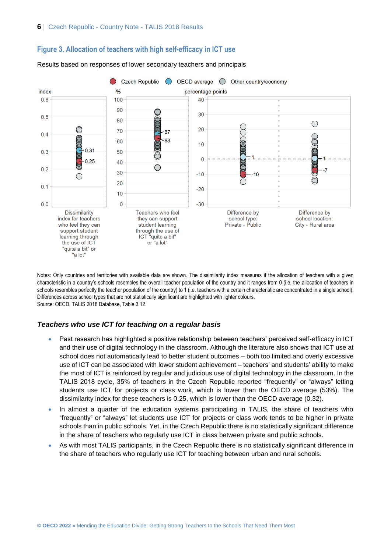

#### **Figure 3. Allocation of teachers with high self-efficacy in ICT use**

Results based on responses of lower secondary teachers and principals

Notes: Only countries and territories with available data are shown. The dissimilarity index measures if the allocation of teachers with a given characteristic in a country's schools resembles the overall teacher population of the country and it ranges from 0 (i.e. the allocation of teachers in schools resembles perfectly the teacher population of the country) to 1 (i.e. teachers with a certain characteristic are concentrated in a single school). Differences across school types that are not statistically significant are highlighted with lighter colours. Source: OECD, TALIS 2018 Database, Table 3.12.

#### *Teachers who use ICT for teaching on a regular basis*

- Past research has highlighted a positive relationship between teachers' perceived self-efficacy in ICT and their use of digital technology in the classroom. Although the literature also shows that ICT use at school does not automatically lead to better student outcomes – both too limited and overly excessive use of ICT can be associated with lower student achievement – teachers' and students' ability to make the most of ICT is reinforced by regular and judicious use of digital technology in the classroom. In the TALIS 2018 cycle, 35% of teachers in the Czech Republic reported "frequently" or "always" letting students use ICT for projects or class work, which is lower than the OECD average (53%). The dissimilarity index for these teachers is 0.25, which is lower than the OECD average (0.32).
- In almost a quarter of the education systems participating in TALIS, the share of teachers who "frequently" or "always" let students use ICT for projects or class work tends to be higher in private schools than in public schools. Yet, in the Czech Republic there is no statistically significant difference in the share of teachers who regularly use ICT in class between private and public schools.
- As with most TALIS participants, in the Czech Republic there is no statistically significant difference in the share of teachers who regularly use ICT for teaching between urban and rural schools.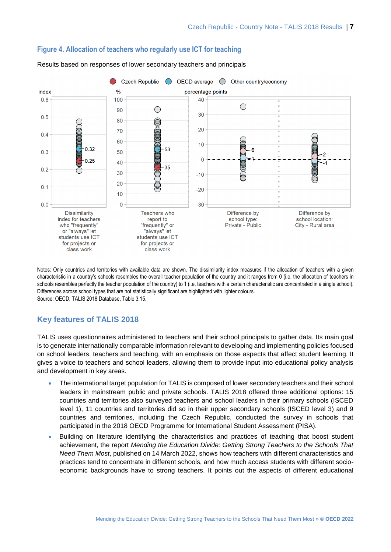

#### **Figure 4. Allocation of teachers who regularly use ICT for teaching**

Results based on responses of lower secondary teachers and principals

Notes: Only countries and territories with available data are shown. The dissimilarity index measures if the allocation of teachers with a given characteristic in a country's schools resembles the overall teacher population of the country and it ranges from 0 (i.e. the allocation of teachers in schools resembles perfectly the teacher population of the country) to 1 (i.e. teachers with a certain characteristic are concentrated in a single school). Differences across school types that are not statistically significant are highlighted with lighter colours. Source: OECD, TALIS 2018 Database, Table 3.15.

## **Key features of TALIS 2018**

TALIS uses questionnaires administered to teachers and their school principals to gather data. Its main goal is to generate internationally comparable information relevant to developing and implementing policies focused on school leaders, teachers and teaching, with an emphasis on those aspects that affect student learning. It gives a voice to teachers and school leaders, allowing them to provide input into educational policy analysis and development in key areas.

- The international target population for TALIS is composed of lower secondary teachers and their school leaders in mainstream public and private schools. TALIS 2018 offered three additional options: 15 countries and territories also surveyed teachers and school leaders in their primary schools (ISCED level 1), 11 countries and territories did so in their upper secondary schools (ISCED level 3) and 9 countries and territories, including the Czech Republic, conducted the survey in schools that participated in the 2018 OECD Programme for International Student Assessment (PISA).
- Building on literature identifying the characteristics and practices of teaching that boost student achievement, the report *Mending the Education Divide: Getting Strong Teachers to the Schools That Need Them Most*, published on 14 March 2022, shows how teachers with different characteristics and practices tend to concentrate in different schools, and how much access students with different socioeconomic backgrounds have to strong teachers. It points out the aspects of different educational